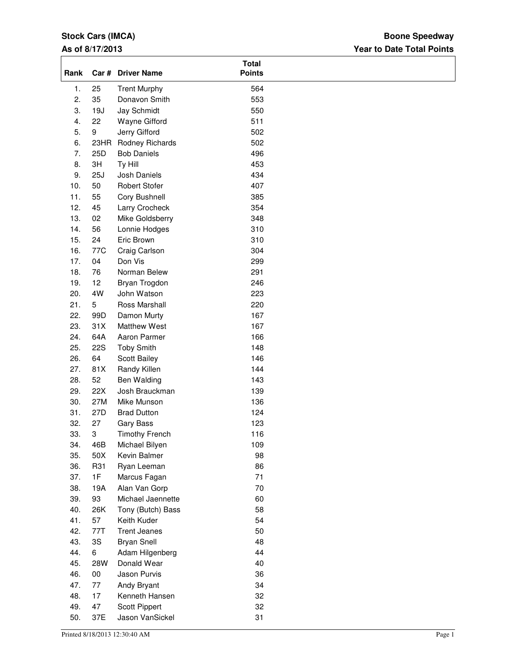# **Stock Cars (IMCA)**

### **As of 8/17/2013**

### **Year to Date Total Points Boone Speedway**

| Rank       |            | Car # Driver Name                | <b>Total</b><br><b>Points</b> |  |
|------------|------------|----------------------------------|-------------------------------|--|
| 1.         | 25         | <b>Trent Murphy</b>              | 564                           |  |
| 2.         | 35         | Donavon Smith                    | 553                           |  |
| 3.         | 19J        | Jay Schmidt                      | 550                           |  |
| 4.         | 22         | Wayne Gifford                    | 511                           |  |
| 5.         | 9          | Jerry Gifford                    | 502                           |  |
| 6.         | 23HR       | Rodney Richards                  | 502                           |  |
| 7.         | 25D        | <b>Bob Daniels</b>               | 496                           |  |
| 8.         | 3H         | Ty Hill                          | 453                           |  |
| 9.         | 25J        | Josh Daniels                     | 434                           |  |
| 10.        | 50         | <b>Robert Stofer</b>             | 407                           |  |
| 11.        | 55         | Cory Bushnell                    | 385                           |  |
| 12.        | 45         | Larry Crocheck                   | 354                           |  |
| 13.        | 02         | Mike Goldsberry                  | 348                           |  |
| 14.        | 56         | Lonnie Hodges                    | 310                           |  |
| 15.        | 24         | Eric Brown                       | 310                           |  |
| 16.        | 77C        | Craig Carlson                    | 304                           |  |
| 17.        | 04         | Don Vis                          | 299                           |  |
| 18.        | 76         | Norman Belew                     | 291                           |  |
| 19.        | 12         | Bryan Trogdon                    | 246                           |  |
| 20.        | 4W         | John Watson                      | 223                           |  |
| 21.        | 5          | Ross Marshall                    | 220                           |  |
| 22.        | 99D        | Damon Murty                      | 167                           |  |
| 23.        | 31X        | <b>Matthew West</b>              | 167                           |  |
| 24.        | 64A        | Aaron Parmer                     | 166                           |  |
| 25.        | <b>22S</b> | <b>Toby Smith</b>                | 148                           |  |
| 26.        | 64         | Scott Bailey                     | 146                           |  |
| 27.        | 81X        | Randy Killen                     | 144                           |  |
| 28.        | 52         | Ben Walding                      | 143                           |  |
| 29.        | 22X        | Josh Brauckman                   | 139                           |  |
| 30.        | 27M        | Mike Munson                      | 136                           |  |
| 31.        | 27D        | <b>Brad Dutton</b>               | 124                           |  |
| 32.        | 27         | Gary Bass                        | 123                           |  |
| 33.        | 3          | <b>Timothy French</b>            | 116                           |  |
| 34.        | 46B        | Michael Bilyen                   | 109                           |  |
| 35.        | 50X        | Kevin Balmer                     | 98                            |  |
| 36.        | R31        | Ryan Leeman                      | 86                            |  |
| 37.        | 1F         | Marcus Fagan                     | 71                            |  |
| 38.        | 19A        | Alan Van Gorp                    | 70                            |  |
| 39.        | 93         | Michael Jaennette                | 60                            |  |
| 40.        | 26K        | Tony (Butch) Bass                | 58                            |  |
| 41.        | 57         | Keith Kuder                      | 54                            |  |
| 42.        | 77T        | <b>Trent Jeanes</b>              | 50                            |  |
| 43.        | 3S         | <b>Bryan Snell</b>               | 48                            |  |
| 44.        | 6          | Adam Hilgenberg                  | 44                            |  |
| 45.        | 28W        | Donald Wear                      | 40                            |  |
| 46.        | 00         | Jason Purvis                     | 36                            |  |
| 47.        | 77         | Andy Bryant                      | 34                            |  |
| 48.<br>49. | 17         | Kenneth Hansen                   | 32                            |  |
| 50.        | 47<br>37E  | Scott Pippert<br>Jason VanSickel | 32<br>31                      |  |
|            |            |                                  |                               |  |